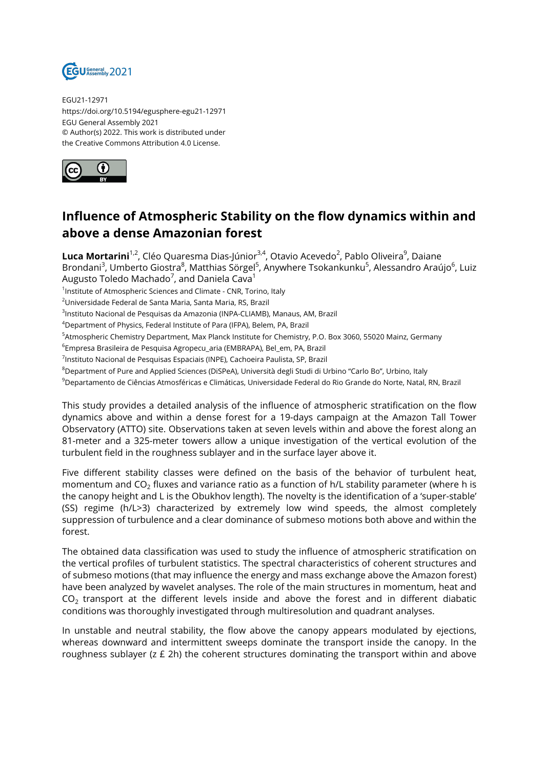

EGU21-12971 https://doi.org/10.5194/egusphere-egu21-12971 EGU General Assembly 2021 © Author(s) 2022. This work is distributed under the Creative Commons Attribution 4.0 License.



## **Influence of Atmospheric Stability on the flow dynamics within and above a dense Amazonian forest**

**Luca Mortarini**<sup>1,2</sup>, Cléo Quaresma Dias-Júnior<sup>3,4</sup>, Otavio Acevedo<sup>2</sup>, Pablo Oliveira<sup>9</sup>, Daiane Brondani<sup>3</sup>, Umberto Giostra<sup>8</sup>, Matthias Sörgel<sup>5</sup>, Anywhere Tsokankunku<sup>5</sup>, Alessandro Araújo<sup>6</sup>, Luiz Augusto Toledo Machado<sup>7</sup>, and Daniela Cava<sup>1</sup>

<sup>1</sup>Institute of Atmospheric Sciences and Climate - CNR, Torino, Italy

<sup>2</sup>Universidade Federal de Santa Maria, Santa Maria, RS, Brazil

<sup>3</sup>lnstituto Nacional de Pesquisas da Amazonia (INPA-CLIAMB), Manaus, AM, Brazil

<sup>4</sup>Department of Physics, Federal Institute of Para (IFPA), Belem, PA, Brazil

<sup>5</sup>Atmospheric Chemistry Department, Max Planck Institute for Chemistry, P.O. Box 3060, 55020 Mainz, Germany

 $^6$ Empresa Brasileira de Pesquisa Agropecu\_aria (EMBRAPA), Bel\_em, PA, Brazil

<sup>7</sup>Instituto Nacional de Pesquisas Espaciais (INPE), Cachoeira Paulista, SP, Brazil

<sup>8</sup>Department of Pure and Applied Sciences (DiSPeA), Università degli Studi di Urbino "Carlo Bo", Urbino, Italy

<sup>9</sup>Departamento de Ciências Atmosféricas e Climáticas, Universidade Federal do Rio Grande do Norte, Natal, RN, Brazil

This study provides a detailed analysis of the influence of atmospheric stratification on the flow dynamics above and within a dense forest for a 19-days campaign at the Amazon Tall Tower Observatory (ATTO) site. Observations taken at seven levels within and above the forest along an 81-meter and a 325-meter towers allow a unique investigation of the vertical evolution of the turbulent field in the roughness sublayer and in the surface layer above it.

Five different stability classes were defined on the basis of the behavior of turbulent heat, momentum and CO $_2$  fluxes and variance ratio as a function of h/L stability parameter (where h is the canopy height and L is the Obukhov length). The novelty is the identification of a 'super-stable' (SS) regime (h/L>3) characterized by extremely low wind speeds, the almost completely suppression of turbulence and a clear dominance of submeso motions both above and within the forest.

The obtained data classification was used to study the influence of atmospheric stratification on the vertical profiles of turbulent statistics. The spectral characteristics of coherent structures and of submeso motions (that may influence the energy and mass exchange above the Amazon forest) have been analyzed by wavelet analyses. The role of the main structures in momentum, heat and CO $_{2}$  transport at the different levels inside and above the forest and in different diabatic conditions was thoroughly investigated through multiresolution and quadrant analyses.

In unstable and neutral stability, the flow above the canopy appears modulated by ejections, whereas downward and intermittent sweeps dominate the transport inside the canopy. In the roughness sublayer (z £ 2h) the coherent structures dominating the transport within and above